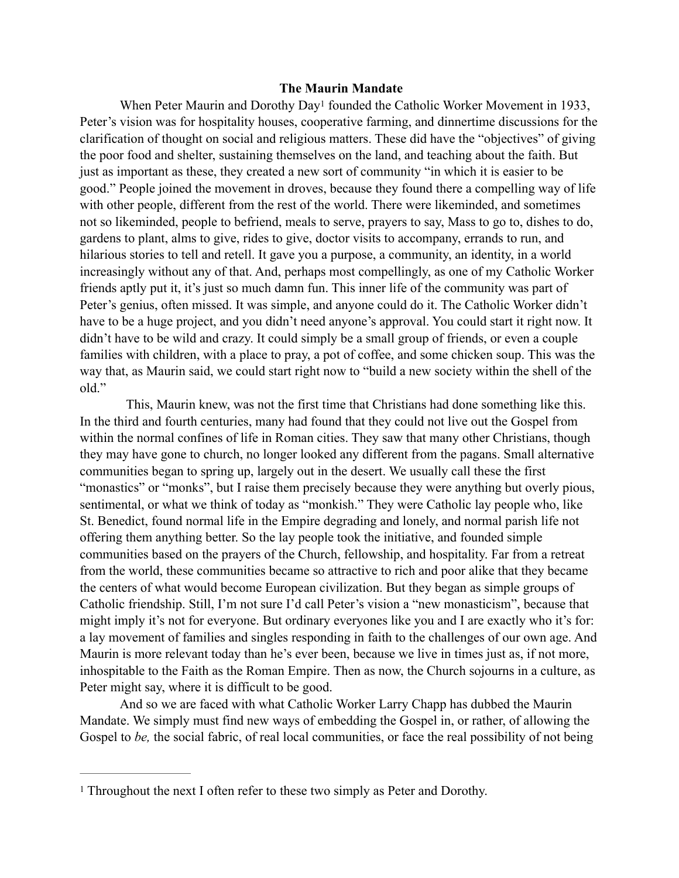## <span id="page-0-1"></span>**The Maurin Mandate**

WhenPeter Maurin and Dorothy Day<sup>[1](#page-0-0)</sup> founded the Catholic Worker Movement in 1933, Peter's vision was for hospitality houses, cooperative farming, and dinnertime discussions for the clarification of thought on social and religious matters. These did have the "objectives" of giving the poor food and shelter, sustaining themselves on the land, and teaching about the faith. But just as important as these, they created a new sort of community "in which it is easier to be good." People joined the movement in droves, because they found there a compelling way of life with other people, different from the rest of the world. There were likeminded, and sometimes not so likeminded, people to befriend, meals to serve, prayers to say, Mass to go to, dishes to do, gardens to plant, alms to give, rides to give, doctor visits to accompany, errands to run, and hilarious stories to tell and retell. It gave you a purpose, a community, an identity, in a world increasingly without any of that. And, perhaps most compellingly, as one of my Catholic Worker friends aptly put it, it's just so much damn fun. This inner life of the community was part of Peter's genius, often missed. It was simple, and anyone could do it. The Catholic Worker didn't have to be a huge project, and you didn't need anyone's approval. You could start it right now. It didn't have to be wild and crazy. It could simply be a small group of friends, or even a couple families with children, with a place to pray, a pot of coffee, and some chicken soup. This was the way that, as Maurin said, we could start right now to "build a new society within the shell of the old."

 This, Maurin knew, was not the first time that Christians had done something like this. In the third and fourth centuries, many had found that they could not live out the Gospel from within the normal confines of life in Roman cities. They saw that many other Christians, though they may have gone to church, no longer looked any different from the pagans. Small alternative communities began to spring up, largely out in the desert. We usually call these the first "monastics" or "monks", but I raise them precisely because they were anything but overly pious, sentimental, or what we think of today as "monkish." They were Catholic lay people who, like St. Benedict, found normal life in the Empire degrading and lonely, and normal parish life not offering them anything better. So the lay people took the initiative, and founded simple communities based on the prayers of the Church, fellowship, and hospitality. Far from a retreat from the world, these communities became so attractive to rich and poor alike that they became the centers of what would become European civilization. But they began as simple groups of Catholic friendship. Still, I'm not sure I'd call Peter's vision a "new monasticism", because that might imply it's not for everyone. But ordinary everyones like you and I are exactly who it's for: a lay movement of families and singles responding in faith to the challenges of our own age. And Maurin is more relevant today than he's ever been, because we live in times just as, if not more, inhospitable to the Faith as the Roman Empire. Then as now, the Church sojourns in a culture, as Peter might say, where it is difficult to be good.

And so we are faced with what Catholic Worker Larry Chapp has dubbed the Maurin Mandate. We simply must find new ways of embedding the Gospel in, or rather, of allowing the Gospel to *be*, the social fabric, of real local communities, or face the real possibility of not being

<span id="page-0-0"></span><sup>&</sup>lt;sup>[1](#page-0-1)</sup> Throughout the next I often refer to these two simply as Peter and Dorothy.